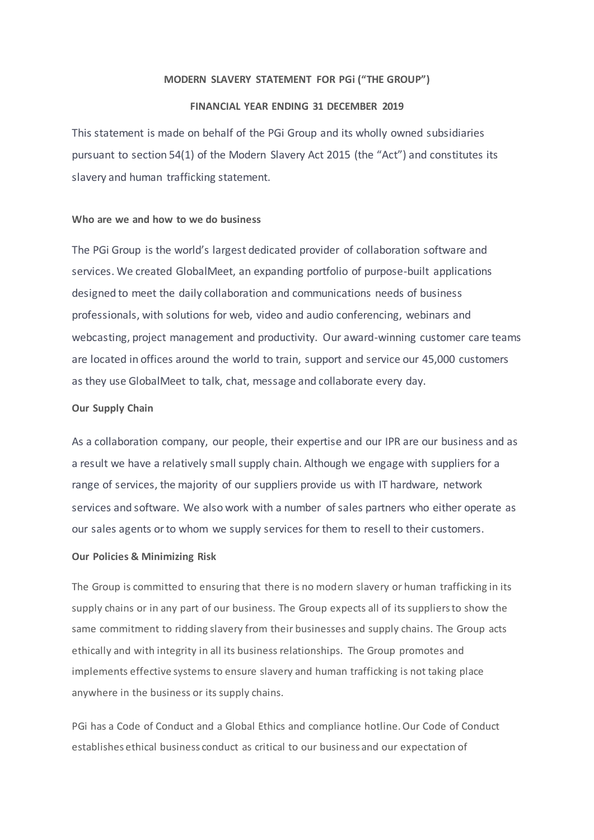### **MODERN SLAVERY STATEMENT FOR PGi ("THE GROUP")**

# **FINANCIAL YEAR ENDING 31 DECEMBER 2019**

This statement is made on behalf of the PGi Group and its wholly owned subsidiaries pursuant to section 54(1) of the Modern Slavery Act 2015 (the "Act") and constitutes its slavery and human trafficking statement.

### **Who are we and how to we do business**

The PGi Group is the world's largest dedicated provider of collaboration software and services. We created [GlobalMeet,](https://www.pgi.com/globalmeet/) an expanding portfolio of purpose-built applications designed to meet the daily collaboration and communications needs of business professionals, with solutions for web, video and audio conferencing, webinars and webcasting, project management and productivity. Our award-winning customer care teams are located in offices around the world to train, support and service our 45,000 customers as they use GlobalMeet to talk, chat, message and collaborate every day.

## **Our Supply Chain**

As a collaboration company, our people, their expertise and our IPR are our business and as a result we have a relatively small supply chain. Although we engage with suppliers for a range of services, the majority of our suppliers provide us with IT hardware, network services and software. We also work with a number of sales partners who either operate as our sales agents or to whom we supply services for them to resell to their customers.

### **Our Policies & Minimizing Risk**

The Group is committed to ensuring that there is no modern slavery or human trafficking in its supply chains or in any part of our business. The Group expects all of its suppliers to show the same commitment to ridding slavery from their businesses and supply chains. The Group acts ethically and with integrity in all its business relationships. The Group promotes and implements effective systems to ensure slavery and human trafficking is not taking place anywhere in the business or its supply chains.

PGi has a Code of Conduct and a Global Ethics and compliance hotline. Our Code of Conduct establishes ethical business conduct as critical to our business and our expectation of